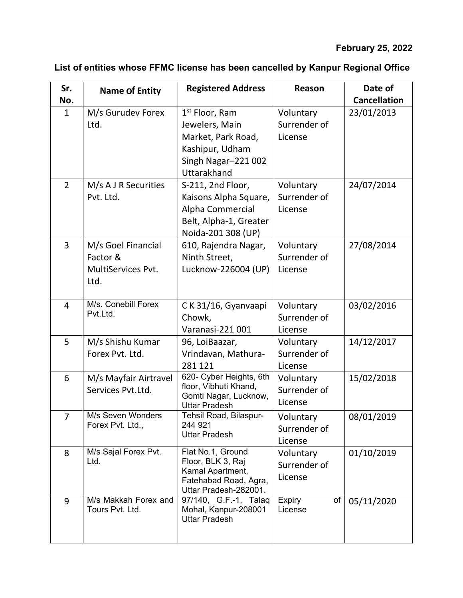## **February 25, 2022**

| Sr.            | <b>Name Of Entity</b> | <b>Registered Address</b>                      | Reason              | Date of             |
|----------------|-----------------------|------------------------------------------------|---------------------|---------------------|
| No.            |                       |                                                |                     | <b>Cancellation</b> |
| $\mathbf{1}$   | M/s Gurudev Forex     | 1 <sup>st</sup> Floor, Ram                     | Voluntary           | 23/01/2013          |
|                | Ltd.                  | Jewelers, Main                                 | Surrender of        |                     |
|                |                       | Market, Park Road,                             | License             |                     |
|                |                       | Kashipur, Udham                                |                     |                     |
|                |                       | Singh Nagar-221 002                            |                     |                     |
|                |                       | Uttarakhand                                    |                     |                     |
| $\overline{2}$ | M/s A J R Securities  | S-211, 2nd Floor,                              | Voluntary           | 24/07/2014          |
|                | Pvt. Ltd.             | Kaisons Alpha Square,                          | Surrender of        |                     |
|                |                       | Alpha Commercial                               | License             |                     |
|                |                       | Belt, Alpha-1, Greater                         |                     |                     |
|                |                       | Noida-201 308 (UP)                             |                     |                     |
| 3              | M/s Goel Financial    | 610, Rajendra Nagar,                           | Voluntary           | 27/08/2014          |
|                | Factor &              | Ninth Street,                                  | Surrender of        |                     |
|                | MultiServices Pvt.    | Lucknow-226004 (UP)                            | License             |                     |
|                | Ltd.                  |                                                |                     |                     |
|                |                       |                                                |                     |                     |
| $\overline{4}$ | M/s. Conebill Forex   | C K 31/16, Gyanvaapi                           | Voluntary           | 03/02/2016          |
|                | Pvt.Ltd.              | Chowk,                                         | Surrender of        |                     |
|                |                       | Varanasi-221 001                               | License             |                     |
| 5              | M/s Shishu Kumar      | 96, LoiBaazar,                                 | Voluntary           | 14/12/2017          |
|                | Forex Pvt. Ltd.       | Vrindavan, Mathura-                            | Surrender of        |                     |
|                |                       | 281 121                                        | License             |                     |
| 6              | M/s Mayfair Airtravel | 620- Cyber Heights, 6th                        | Voluntary           | 15/02/2018          |
|                | Services Pvt.Ltd.     | floor, Vibhuti Khand,<br>Gomti Nagar, Lucknow, | Surrender of        |                     |
|                |                       | <b>Uttar Pradesh</b>                           | License             |                     |
| $\overline{7}$ | M/s Seven Wonders     | Tehsil Road, Bilaspur-                         | Voluntary           | 08/01/2019          |
|                | Forex Pvt. Ltd.,      | 244 921<br><b>Uttar Pradesh</b>                | Surrender of        |                     |
|                |                       |                                                | License             |                     |
| 8              | M/s Sajal Forex Pvt.  | Flat No.1, Ground                              | Voluntary           | 01/10/2019          |
|                | Ltd.                  | Floor, BLK 3, Raj                              | Surrender of        |                     |
|                |                       | Kamal Apartment,<br>Fatehabad Road, Agra,      | License             |                     |
|                |                       | Uttar Pradesh-282001.                          |                     |                     |
| 9              | M/s Makkah Forex and  | 97/140, G.F.-1, Talaq                          | <b>Expiry</b><br>of | 05/11/2020          |
|                | Tours Pvt. Ltd.       | Mohal, Kanpur-208001<br><b>Uttar Pradesh</b>   | License             |                     |
|                |                       |                                                |                     |                     |
|                |                       |                                                |                     |                     |

## **List of entities whose FFMC license has been cancelled by Kanpur Regional Office**